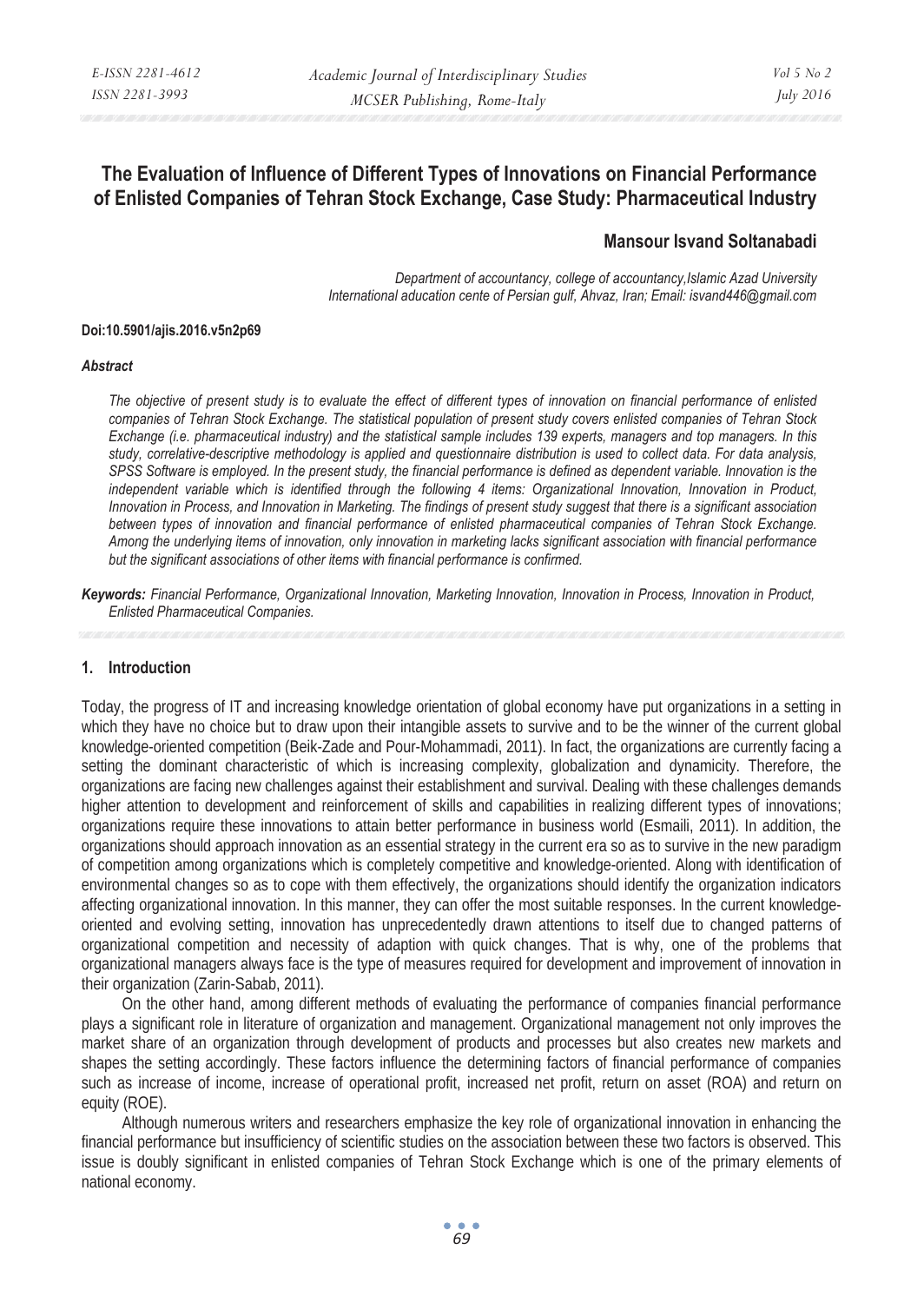# **The Evaluation of Influence of Different Types of Innovations on Financial Performance of Enlisted Companies of Tehran Stock Exchange, Case Study: Pharmaceutical Industry**

# **Mansour Isvand Soltanabadi**

*Department of accountancy, college of accountancy,Islamic Azad University International aducation cente of Persian gulf, Ahvaz, Iran; Email: isvand446@gmail.com* 

#### **Doi:10.5901/ajis.2016.v5n2p69**

#### *Abstract*

*The objective of present study is to evaluate the effect of different types of innovation on financial performance of enlisted companies of Tehran Stock Exchange. The statistical population of present study covers enlisted companies of Tehran Stock Exchange (i.e. pharmaceutical industry) and the statistical sample includes 139 experts, managers and top managers. In this study, correlative-descriptive methodology is applied and questionnaire distribution is used to collect data. For data analysis, SPSS Software is employed. In the present study, the financial performance is defined as dependent variable. Innovation is the independent variable which is identified through the following 4 items: Organizational Innovation, Innovation in Product, Innovation in Process, and Innovation in Marketing. The findings of present study suggest that there is a significant association between types of innovation and financial performance of enlisted pharmaceutical companies of Tehran Stock Exchange. Among the underlying items of innovation, only innovation in marketing lacks significant association with financial performance but the significant associations of other items with financial performance is confirmed.* 

*Keywords: Financial Performance, Organizational Innovation, Marketing Innovation, Innovation in Process, Innovation in Product, Enlisted Pharmaceutical Companies.* 

### **1. Introduction**

Today, the progress of IT and increasing knowledge orientation of global economy have put organizations in a setting in which they have no choice but to draw upon their intangible assets to survive and to be the winner of the current global knowledge-oriented competition (Beik-Zade and Pour-Mohammadi, 2011). In fact, the organizations are currently facing a setting the dominant characteristic of which is increasing complexity, globalization and dynamicity. Therefore, the organizations are facing new challenges against their establishment and survival. Dealing with these challenges demands higher attention to development and reinforcement of skills and capabilities in realizing different types of innovations; organizations require these innovations to attain better performance in business world (Esmaili, 2011). In addition, the organizations should approach innovation as an essential strategy in the current era so as to survive in the new paradigm of competition among organizations which is completely competitive and knowledge-oriented. Along with identification of environmental changes so as to cope with them effectively, the organizations should identify the organization indicators affecting organizational innovation. In this manner, they can offer the most suitable responses. In the current knowledgeoriented and evolving setting, innovation has unprecedentedly drawn attentions to itself due to changed patterns of organizational competition and necessity of adaption with quick changes. That is why, one of the problems that organizational managers always face is the type of measures required for development and improvement of innovation in their organization (Zarin-Sabab, 2011).

On the other hand, among different methods of evaluating the performance of companies financial performance plays a significant role in literature of organization and management. Organizational management not only improves the market share of an organization through development of products and processes but also creates new markets and shapes the setting accordingly. These factors influence the determining factors of financial performance of companies such as increase of income, increase of operational profit, increased net profit, return on asset (ROA) and return on equity (ROE).

Although numerous writers and researchers emphasize the key role of organizational innovation in enhancing the financial performance but insufficiency of scientific studies on the association between these two factors is observed. This issue is doubly significant in enlisted companies of Tehran Stock Exchange which is one of the primary elements of national economy.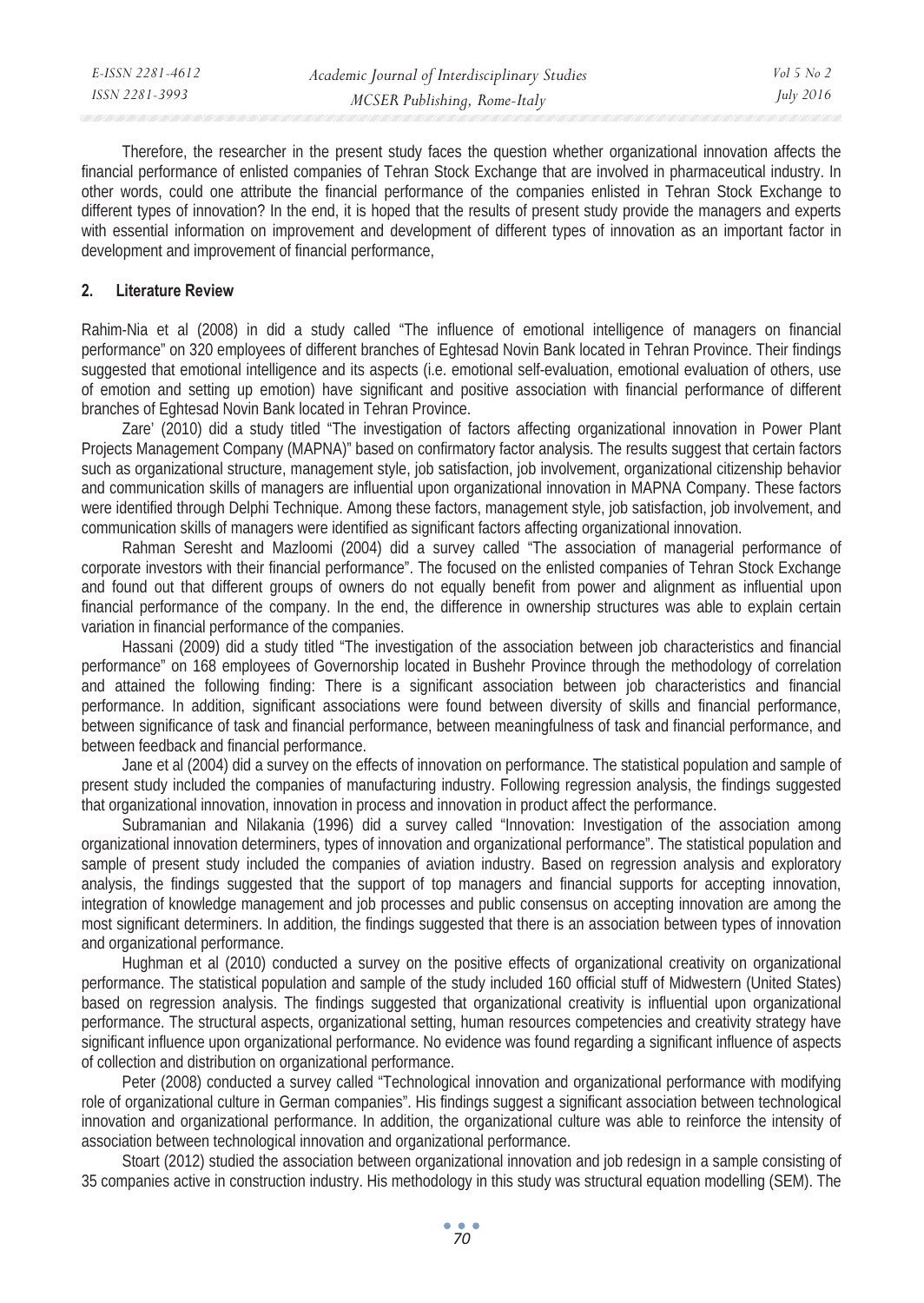| E-ISSN 2281-4612 | Academic Journal of Interdisciplinary Studies | Vol 5 No 2 |
|------------------|-----------------------------------------------|------------|
| ISSN 2281-3993   | MCSER Publishing, Rome-Italy                  | July 2016  |
|                  |                                               |            |

Therefore, the researcher in the present study faces the question whether organizational innovation affects the financial performance of enlisted companies of Tehran Stock Exchange that are involved in pharmaceutical industry. In other words, could one attribute the financial performance of the companies enlisted in Tehran Stock Exchange to different types of innovation? In the end, it is hoped that the results of present study provide the managers and experts with essential information on improvement and development of different types of innovation as an important factor in development and improvement of financial performance,

### **2. Literature Review**

Rahim-Nia et al (2008) in did a study called "The influence of emotional intelligence of managers on financial performance" on 320 employees of different branches of Eghtesad Novin Bank located in Tehran Province. Their findings suggested that emotional intelligence and its aspects (i.e. emotional self-evaluation, emotional evaluation of others, use of emotion and setting up emotion) have significant and positive association with financial performance of different branches of Eghtesad Novin Bank located in Tehran Province.

Zare' (2010) did a study titled "The investigation of factors affecting organizational innovation in Power Plant Projects Management Company (MAPNA)" based on confirmatory factor analysis. The results suggest that certain factors such as organizational structure, management style, job satisfaction, job involvement, organizational citizenship behavior and communication skills of managers are influential upon organizational innovation in MAPNA Company. These factors were identified through Delphi Technique. Among these factors, management style, job satisfaction, job involvement, and communication skills of managers were identified as significant factors affecting organizational innovation.

Rahman Seresht and Mazloomi (2004) did a survey called "The association of managerial performance of corporate investors with their financial performance". The focused on the enlisted companies of Tehran Stock Exchange and found out that different groups of owners do not equally benefit from power and alignment as influential upon financial performance of the company. In the end, the difference in ownership structures was able to explain certain variation in financial performance of the companies.

Hassani (2009) did a study titled "The investigation of the association between job characteristics and financial performance" on 168 employees of Governorship located in Bushehr Province through the methodology of correlation and attained the following finding: There is a significant association between job characteristics and financial performance. In addition, significant associations were found between diversity of skills and financial performance, between significance of task and financial performance, between meaningfulness of task and financial performance, and between feedback and financial performance.

Jane et al (2004) did a survey on the effects of innovation on performance. The statistical population and sample of present study included the companies of manufacturing industry. Following regression analysis, the findings suggested that organizational innovation, innovation in process and innovation in product affect the performance.

Subramanian and Nilakania (1996) did a survey called "Innovation: Investigation of the association among organizational innovation determiners, types of innovation and organizational performance". The statistical population and sample of present study included the companies of aviation industry. Based on regression analysis and exploratory analysis, the findings suggested that the support of top managers and financial supports for accepting innovation, integration of knowledge management and job processes and public consensus on accepting innovation are among the most significant determiners. In addition, the findings suggested that there is an association between types of innovation and organizational performance.

Hughman et al (2010) conducted a survey on the positive effects of organizational creativity on organizational performance. The statistical population and sample of the study included 160 official stuff of Midwestern (United States) based on regression analysis. The findings suggested that organizational creativity is influential upon organizational performance. The structural aspects, organizational setting, human resources competencies and creativity strategy have significant influence upon organizational performance. No evidence was found regarding a significant influence of aspects of collection and distribution on organizational performance.

Peter (2008) conducted a survey called "Technological innovation and organizational performance with modifying role of organizational culture in German companies". His findings suggest a significant association between technological innovation and organizational performance. In addition, the organizational culture was able to reinforce the intensity of association between technological innovation and organizational performance.

Stoart (2012) studied the association between organizational innovation and job redesign in a sample consisting of 35 companies active in construction industry. His methodology in this study was structural equation modelling (SEM). The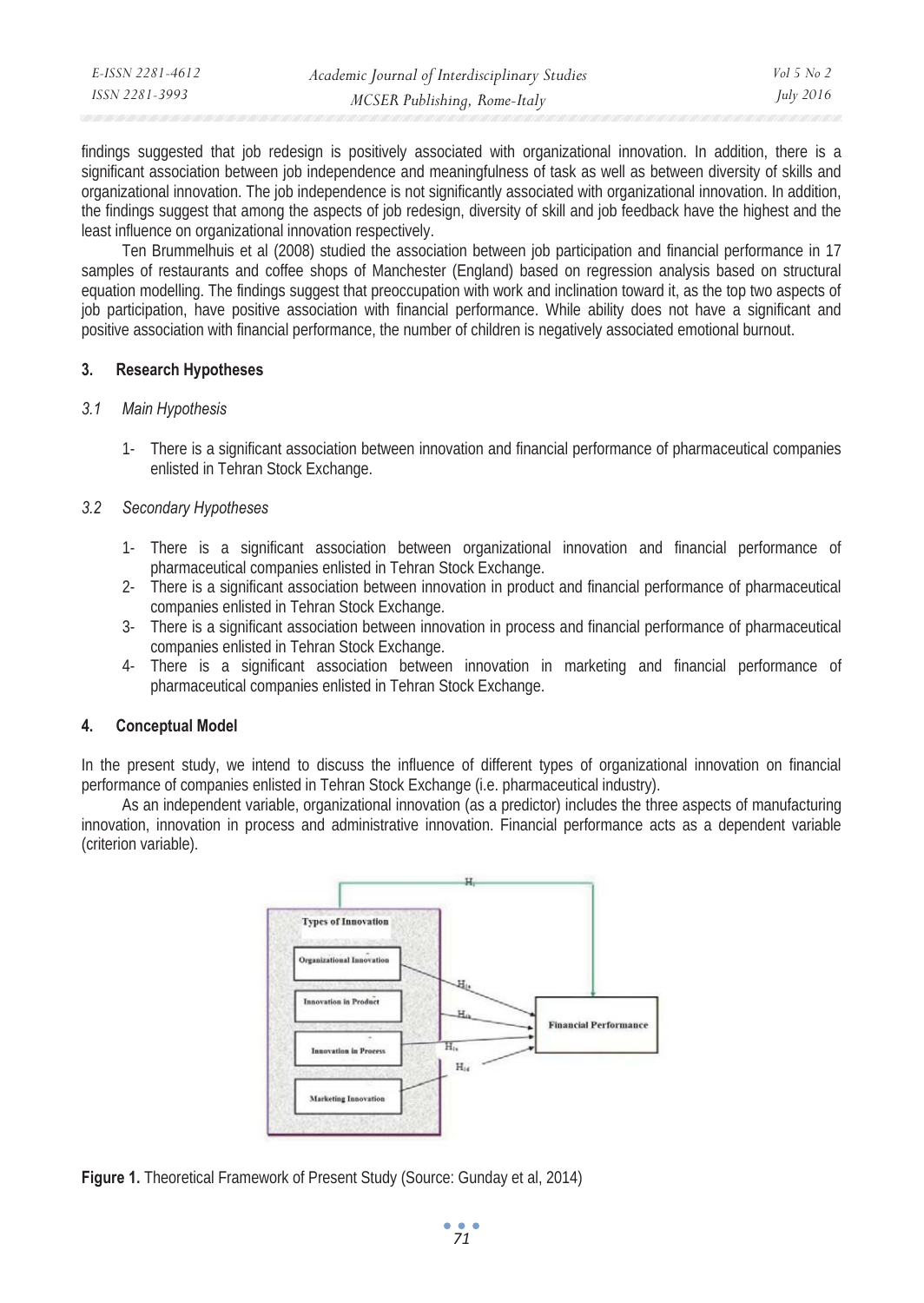| E-ISSN 2281-4612 | Academic Journal of Interdisciplinary Studies | $Vol_5$ No 2     |
|------------------|-----------------------------------------------|------------------|
| ISSN 2281-3993   | MCSER Publishing, Rome-Italy                  | <i>July 2016</i> |

findings suggested that job redesign is positively associated with organizational innovation. In addition, there is a significant association between job independence and meaningfulness of task as well as between diversity of skills and organizational innovation. The job independence is not significantly associated with organizational innovation. In addition, the findings suggest that among the aspects of job redesign, diversity of skill and job feedback have the highest and the least influence on organizational innovation respectively.

Ten Brummelhuis et al (2008) studied the association between job participation and financial performance in 17 samples of restaurants and coffee shops of Manchester (England) based on regression analysis based on structural equation modelling. The findings suggest that preoccupation with work and inclination toward it, as the top two aspects of job participation, have positive association with financial performance. While ability does not have a significant and positive association with financial performance, the number of children is negatively associated emotional burnout.

### **3. Research Hypotheses**

#### *3.1 Main Hypothesis*

1- There is a significant association between innovation and financial performance of pharmaceutical companies enlisted in Tehran Stock Exchange.

### *3.2 Secondary Hypotheses*

- 1- There is a significant association between organizational innovation and financial performance of pharmaceutical companies enlisted in Tehran Stock Exchange.
- 2- There is a significant association between innovation in product and financial performance of pharmaceutical companies enlisted in Tehran Stock Exchange.
- 3- There is a significant association between innovation in process and financial performance of pharmaceutical companies enlisted in Tehran Stock Exchange.
- 4- There is a significant association between innovation in marketing and financial performance of pharmaceutical companies enlisted in Tehran Stock Exchange.

### **4. Conceptual Model**

In the present study, we intend to discuss the influence of different types of organizational innovation on financial performance of companies enlisted in Tehran Stock Exchange (i.e. pharmaceutical industry).

As an independent variable, organizational innovation (as a predictor) includes the three aspects of manufacturing innovation, innovation in process and administrative innovation. Financial performance acts as a dependent variable (criterion variable).



Figure 1. Theoretical Framework of Present Study (Source: Gunday et al, 2014)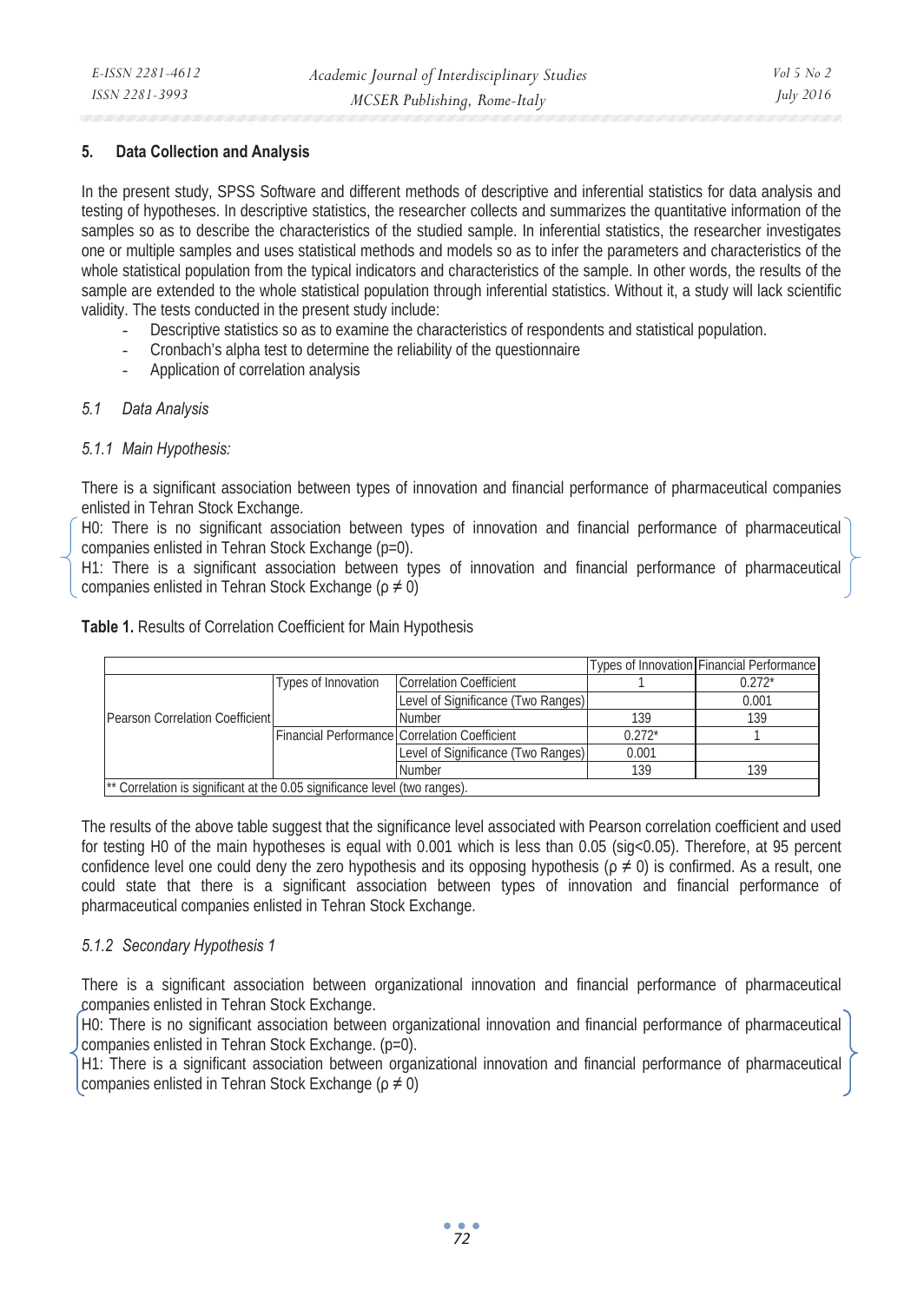# **5. Data Collection and Analysis**

In the present study, SPSS Software and different methods of descriptive and inferential statistics for data analysis and testing of hypotheses. In descriptive statistics, the researcher collects and summarizes the quantitative information of the samples so as to describe the characteristics of the studied sample. In inferential statistics, the researcher investigates one or multiple samples and uses statistical methods and models so as to infer the parameters and characteristics of the whole statistical population from the typical indicators and characteristics of the sample. In other words, the results of the sample are extended to the whole statistical population through inferential statistics. Without it, a study will lack scientific validity. The tests conducted in the present study include:

- Descriptive statistics so as to examine the characteristics of respondents and statistical population.
- Cronbach's alpha test to determine the reliability of the questionnaire
- Application of correlation analysis

### *5.1 Data Analysis*

### *5.1.1 Main Hypothesis:*

There is a significant association between types of innovation and financial performance of pharmaceutical companies enlisted in Tehran Stock Exchange.

H0: There is no significant association between types of innovation and financial performance of pharmaceutical companies enlisted in Tehran Stock Exchange (p=0).

H1: There is a significant association between types of innovation and financial performance of pharmaceutical companies enlisted in Tehran Stock Exchange ( $\rho \neq 0$ )

|  |  |  | <b>Table 1.</b> Results of Correlation Coefficient for Main Hypothesis |
|--|--|--|------------------------------------------------------------------------|
|  |  |  |                                                                        |

|                                                                            |                                               |                                    |          | Types of Innovation Financial Performance |
|----------------------------------------------------------------------------|-----------------------------------------------|------------------------------------|----------|-------------------------------------------|
|                                                                            | Types of Innovation                           | Correlation Coefficient            |          | $0.272*$                                  |
|                                                                            |                                               | Level of Significance (Two Ranges) |          | 0.001                                     |
| Pearson Correlation Coefficient                                            |                                               | Number                             | 139      | 139                                       |
|                                                                            | Financial Performance Correlation Coefficient |                                    | $0.272*$ |                                           |
|                                                                            |                                               | Level of Significance (Two Ranges) | 0.001    |                                           |
|                                                                            |                                               | Number                             | 139      | 139                                       |
| ** Correlation is significant at the 0.05 significance level (two ranges). |                                               |                                    |          |                                           |

The results of the above table suggest that the significance level associated with Pearson correlation coefficient and used for testing H0 of the main hypotheses is equal with 0.001 which is less than 0.05 (sig<0.05). Therefore, at 95 percent confidence level one could deny the zero hypothesis and its opposing hypothesis ( $\rho \neq 0$ ) is confirmed. As a result, one could state that there is a significant association between types of innovation and financial performance of pharmaceutical companies enlisted in Tehran Stock Exchange.

# *5.1.2 Secondary Hypothesis 1*

There is a significant association between organizational innovation and financial performance of pharmaceutical companies enlisted in Tehran Stock Exchange.

H0: There is no significant association between organizational innovation and financial performance of pharmaceutical companies enlisted in Tehran Stock Exchange. (p=0).

H1: There is a significant association between organizational innovation and financial performance of pharmaceutical companies enlisted in Tehran Stock Exchange ( $\rho \neq 0$ )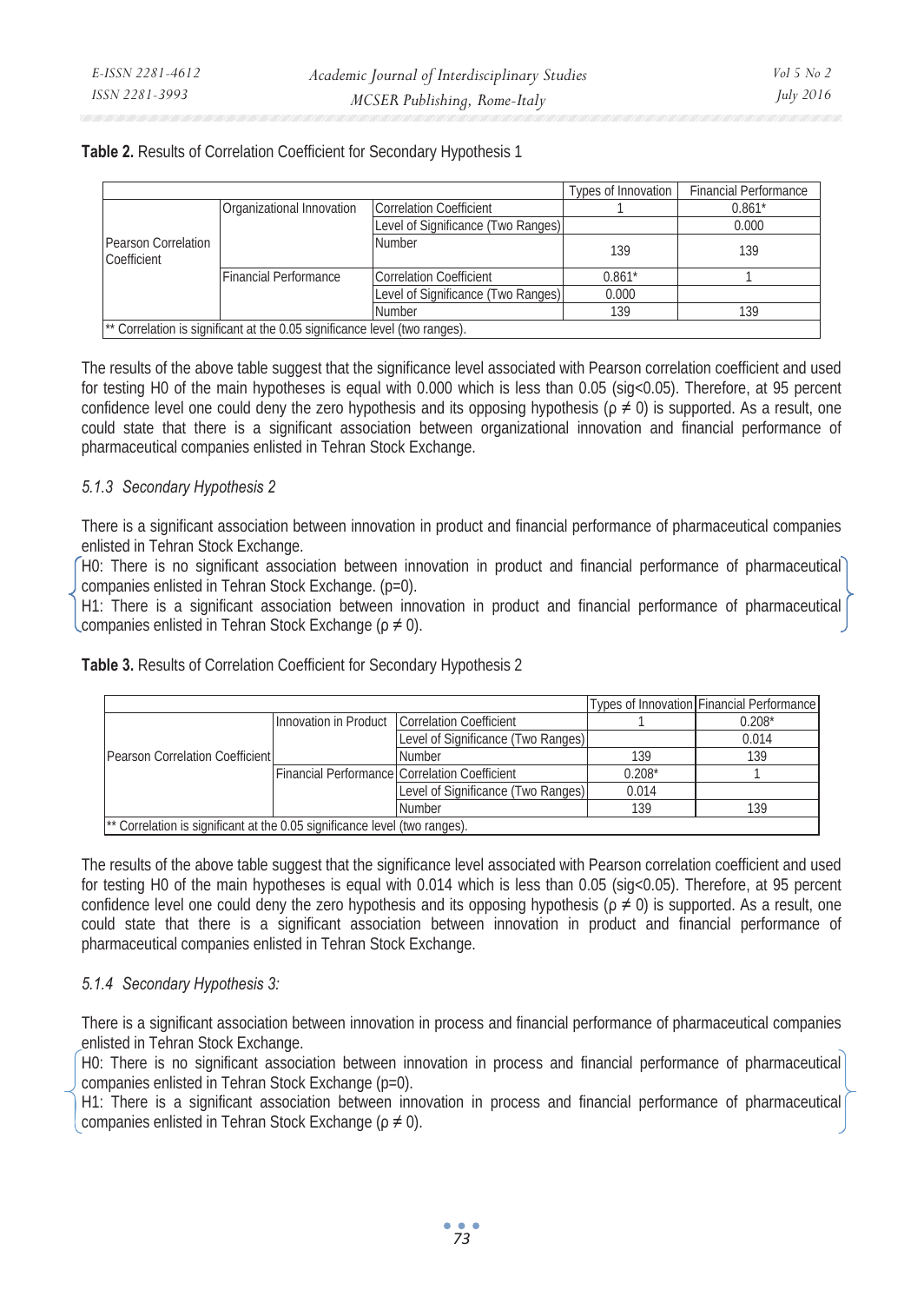### **Table 2.** Results of Correlation Coefficient for Secondary Hypothesis 1

|                                                                            |                              |                                    | Types of Innovation | <b>Financial Performance</b> |  |  |
|----------------------------------------------------------------------------|------------------------------|------------------------------------|---------------------|------------------------------|--|--|
|                                                                            | Organizational Innovation    | Correlation Coefficient            |                     | $0.861*$                     |  |  |
|                                                                            |                              | Level of Significance (Two Ranges) |                     | 0.000                        |  |  |
| Pearson Correlation<br>Coefficient                                         |                              | Number                             | 139                 | 139                          |  |  |
|                                                                            | <b>Financial Performance</b> | <b>Correlation Coefficient</b>     | $0.861*$            |                              |  |  |
|                                                                            |                              | Level of Significance (Two Ranges) | 0.000               |                              |  |  |
|                                                                            |                              | <b>Number</b>                      | 139                 | 139                          |  |  |
| ** Correlation is significant at the 0.05 significance level (two ranges). |                              |                                    |                     |                              |  |  |

The results of the above table suggest that the significance level associated with Pearson correlation coefficient and used for testing H0 of the main hypotheses is equal with 0.000 which is less than 0.05 (sig<0.05). Therefore, at 95 percent confidence level one could deny the zero hypothesis and its opposing hypothesis ( $\rho \neq 0$ ) is supported. As a result, one could state that there is a significant association between organizational innovation and financial performance of pharmaceutical companies enlisted in Tehran Stock Exchange.

# *5.1.3 Secondary Hypothesis 2*

There is a significant association between innovation in product and financial performance of pharmaceutical companies enlisted in Tehran Stock Exchange.

H0: There is no significant association between innovation in product and financial performance of pharmaceutical companies enlisted in Tehran Stock Exchange. (p=0).

H1: There is a significant association between innovation in product and financial performance of pharmaceutical companies enlisted in Tehran Stock Exchange ( $\rho \neq 0$ ).

|                                                                            |                                                       |                                    |          | Types of Innovation Financial Performance |
|----------------------------------------------------------------------------|-------------------------------------------------------|------------------------------------|----------|-------------------------------------------|
|                                                                            | Innovation in Product Correlation Coefficient         |                                    |          | $0.208*$                                  |
|                                                                            |                                                       | Level of Significance (Two Ranges) |          | 0.014                                     |
| Pearson Correlation Coefficient                                            |                                                       | Number                             | 139      | 139                                       |
|                                                                            | <b>IFinancial Performance Correlation Coefficient</b> |                                    | $0.208*$ |                                           |
|                                                                            |                                                       | Level of Significance (Two Ranges) | 0.014    |                                           |
|                                                                            |                                                       | Number                             | 139      | 139                                       |
| ** Correlation is significant at the 0.05 significance level (two ranges). |                                                       |                                    |          |                                           |

**Table 3.** Results of Correlation Coefficient for Secondary Hypothesis 2

The results of the above table suggest that the significance level associated with Pearson correlation coefficient and used for testing H0 of the main hypotheses is equal with 0.014 which is less than 0.05 (sig<0.05). Therefore, at 95 percent confidence level one could deny the zero hypothesis and its opposing hypothesis ( $\rho \neq 0$ ) is supported. As a result, one could state that there is a significant association between innovation in product and financial performance of pharmaceutical companies enlisted in Tehran Stock Exchange.

# *5.1.4 Secondary Hypothesis 3:*

There is a significant association between innovation in process and financial performance of pharmaceutical companies enlisted in Tehran Stock Exchange.

H0: There is no significant association between innovation in process and financial performance of pharmaceutical companies enlisted in Tehran Stock Exchange (p=0).

H1: There is a significant association between innovation in process and financial performance of pharmaceutical companies enlisted in Tehran Stock Exchange ( $\rho \neq 0$ ).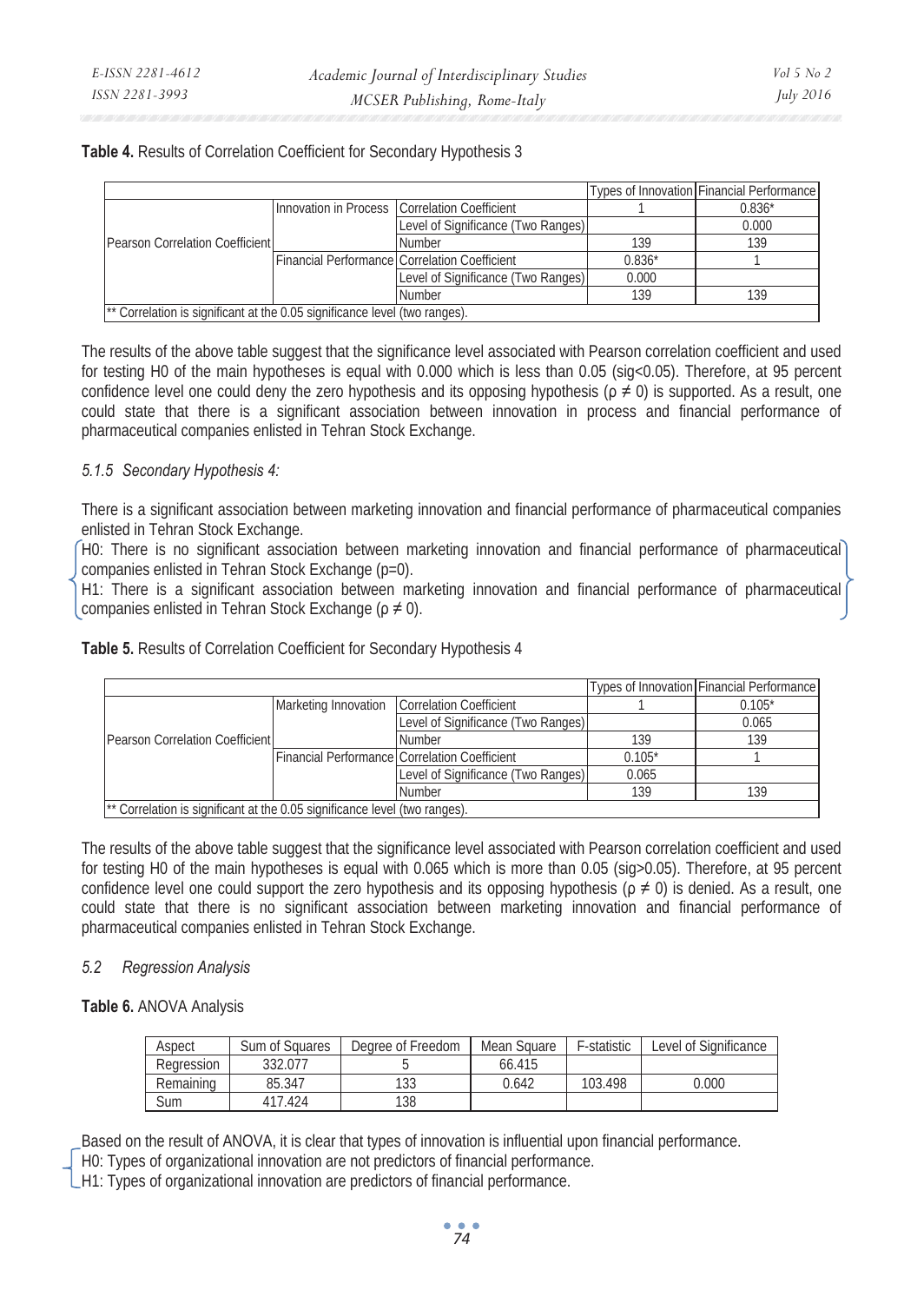### **Table 4.** Results of Correlation Coefficient for Secondary Hypothesis 3

|                                                                            |  |                                               |          | Types of Innovation Financial Performance |  |
|----------------------------------------------------------------------------|--|-----------------------------------------------|----------|-------------------------------------------|--|
|                                                                            |  | Innovation in Process Correlation Coefficient |          | $0.836*$                                  |  |
|                                                                            |  | Level of Significance (Two Ranges)            |          | 0.000                                     |  |
| Pearson Correlation Coefficient                                            |  | Number                                        | 139      | 139                                       |  |
|                                                                            |  | Financial Performance Correlation Coefficient | $0.836*$ |                                           |  |
|                                                                            |  | Level of Significance (Two Ranges)            | 0.000    |                                           |  |
|                                                                            |  | Number                                        | 139      | 139                                       |  |
| ** Correlation is significant at the 0.05 significance level (two ranges). |  |                                               |          |                                           |  |

The results of the above table suggest that the significance level associated with Pearson correlation coefficient and used for testing H0 of the main hypotheses is equal with 0.000 which is less than 0.05 (sig<0.05). Therefore, at 95 percent confidence level one could deny the zero hypothesis and its opposing hypothesis ( $\rho \neq 0$ ) is supported. As a result, one could state that there is a significant association between innovation in process and financial performance of pharmaceutical companies enlisted in Tehran Stock Exchange.

# *5.1.5 Secondary Hypothesis 4:*

There is a significant association between marketing innovation and financial performance of pharmaceutical companies enlisted in Tehran Stock Exchange.

H0: There is no significant association between marketing innovation and financial performance of pharmaceutical companies enlisted in Tehran Stock Exchange (p=0).

H1: There is a significant association between marketing innovation and financial performance of pharmaceutical companies enlisted in Tehran Stock Exchange ( $\rho \neq 0$ ).

|                                                                            |                      |                                               |          | Types of Innovation Financial Performance |  |
|----------------------------------------------------------------------------|----------------------|-----------------------------------------------|----------|-------------------------------------------|--|
|                                                                            | Marketing Innovation | Correlation Coefficient                       |          | $0.105*$                                  |  |
|                                                                            |                      | Level of Significance (Two Ranges)            |          | 0.065                                     |  |
| Pearson Correlation Coefficient                                            |                      | Number                                        | 139      | 139                                       |  |
|                                                                            |                      | Financial Performance Correlation Coefficient | $0.105*$ |                                           |  |
|                                                                            |                      | Level of Significance (Two Ranges)            | 0.065    |                                           |  |
|                                                                            |                      | Number                                        | 139      | 139                                       |  |
| ** Correlation is significant at the 0.05 significance level (two ranges). |                      |                                               |          |                                           |  |

The results of the above table suggest that the significance level associated with Pearson correlation coefficient and used for testing H0 of the main hypotheses is equal with 0.065 which is more than 0.05 (sig>0.05). Therefore, at 95 percent confidence level one could support the zero hypothesis and its opposing hypothesis ( $\rho \neq 0$ ) is denied. As a result, one could state that there is no significant association between marketing innovation and financial performance of pharmaceutical companies enlisted in Tehran Stock Exchange.

### *5.2 Regression Analysis*

### **Table 6.** ANOVA Analysis

| Aspect     | Sum of Sauares | Dearee of Freedom | Mean Square | F-statistic | Level of Significance |
|------------|----------------|-------------------|-------------|-------------|-----------------------|
| Rearession | 332.077        |                   | 66.415      |             |                       |
| Remaining  | 85.347         | 133               | 0.642       | 103.498     | 0.000                 |
| Sum        | 417.424        | 138               |             |             |                       |

Based on the result of ANOVA, it is clear that types of innovation is influential upon financial performance.

H0: Types of organizational innovation are not predictors of financial performance.

LH1: Types of organizational innovation are predictors of financial performance.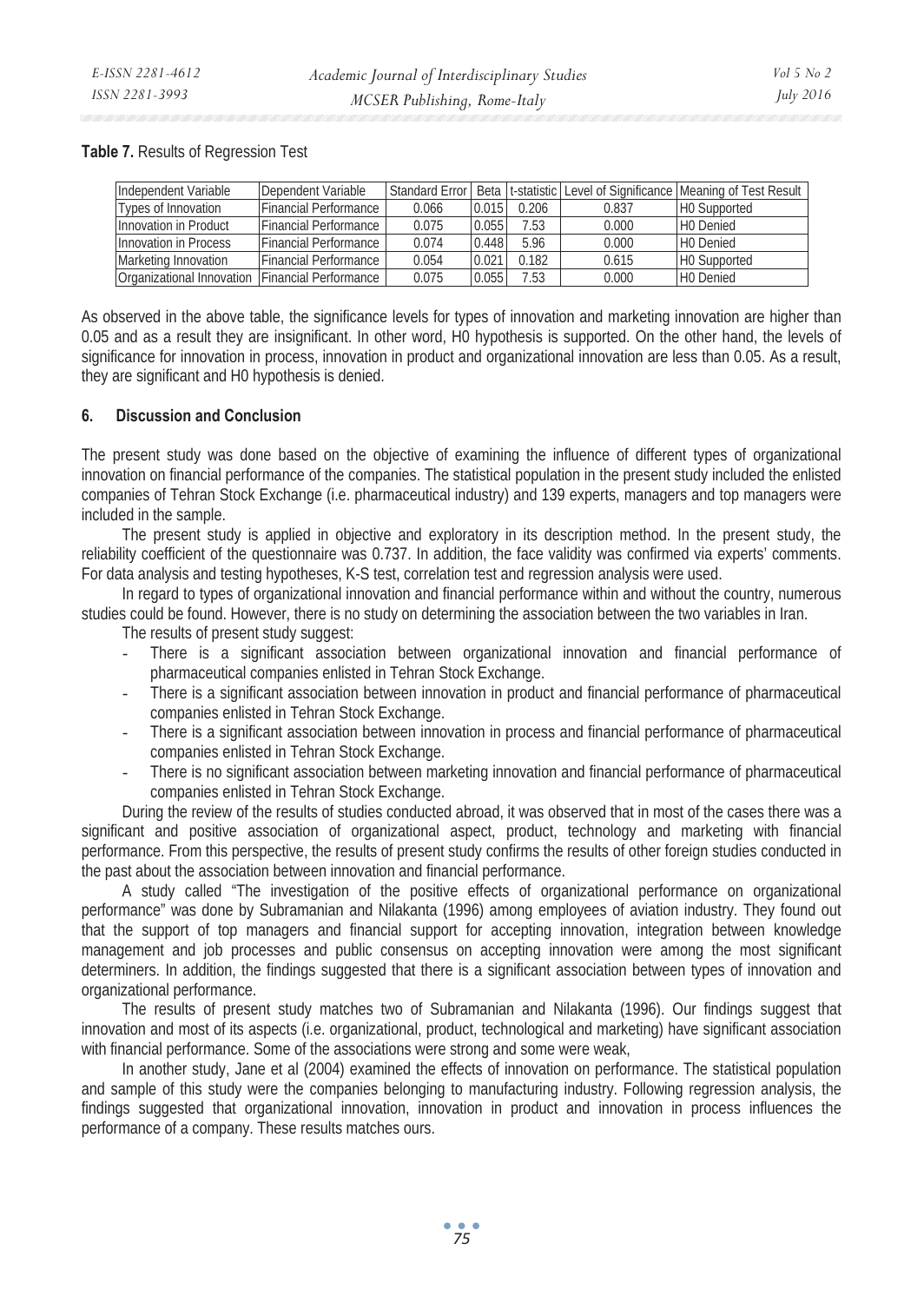### **Table 7.** Results of Regression Test

| Independent Variable                            | Dependent Variable           |       |        |       |       | Standard Error   Beta   t-statistic   Level of Significance   Meaning of Test Result |
|-------------------------------------------------|------------------------------|-------|--------|-------|-------|--------------------------------------------------------------------------------------|
| Types of Innovation                             | Financial Performance        | 0.066 | 10.015 | 0.206 | 0.837 | <b>HO</b> Supported                                                                  |
| <b>Innovation in Product</b>                    | <b>Financial Performance</b> | 0.075 | 0.055  | .53   | 0.000 | H <sub>0</sub> Denied                                                                |
| Innovation in Process                           | <b>Financial Performance</b> | 0.074 | 0.448  | 5.96  | 0.000 | H <sub>0</sub> Denied                                                                |
| Marketing Innovation                            | Financial Performance        | 0.054 | 0.021  | 0.182 | 0.615 | <b>HO</b> Supported                                                                  |
| Organizational Innovation Financial Performance |                              | 0.075 | 0.055  | .53   | 0.000 | H <sub>0</sub> Denied                                                                |

As observed in the above table, the significance levels for types of innovation and marketing innovation are higher than 0.05 and as a result they are insignificant. In other word, H0 hypothesis is supported. On the other hand, the levels of significance for innovation in process, innovation in product and organizational innovation are less than 0.05. As a result, they are significant and H0 hypothesis is denied.

### **6. Discussion and Conclusion**

The present study was done based on the objective of examining the influence of different types of organizational innovation on financial performance of the companies. The statistical population in the present study included the enlisted companies of Tehran Stock Exchange (i.e. pharmaceutical industry) and 139 experts, managers and top managers were included in the sample.

The present study is applied in objective and exploratory in its description method. In the present study, the reliability coefficient of the questionnaire was 0.737. In addition, the face validity was confirmed via experts' comments. For data analysis and testing hypotheses, K-S test, correlation test and regression analysis were used.

In regard to types of organizational innovation and financial performance within and without the country, numerous studies could be found. However, there is no study on determining the association between the two variables in Iran.

The results of present study suggest:

- There is a significant association between organizational innovation and financial performance of pharmaceutical companies enlisted in Tehran Stock Exchange.
- There is a significant association between innovation in product and financial performance of pharmaceutical companies enlisted in Tehran Stock Exchange.
- There is a significant association between innovation in process and financial performance of pharmaceutical companies enlisted in Tehran Stock Exchange.
- There is no significant association between marketing innovation and financial performance of pharmaceutical companies enlisted in Tehran Stock Exchange.

During the review of the results of studies conducted abroad, it was observed that in most of the cases there was a significant and positive association of organizational aspect, product, technology and marketing with financial performance. From this perspective, the results of present study confirms the results of other foreign studies conducted in the past about the association between innovation and financial performance.

A study called "The investigation of the positive effects of organizational performance on organizational performance" was done by Subramanian and Nilakanta (1996) among employees of aviation industry. They found out that the support of top managers and financial support for accepting innovation, integration between knowledge management and job processes and public consensus on accepting innovation were among the most significant determiners. In addition, the findings suggested that there is a significant association between types of innovation and organizational performance.

The results of present study matches two of Subramanian and Nilakanta (1996). Our findings suggest that innovation and most of its aspects (i.e. organizational, product, technological and marketing) have significant association with financial performance. Some of the associations were strong and some were weak,

In another study, Jane et al (2004) examined the effects of innovation on performance. The statistical population and sample of this study were the companies belonging to manufacturing industry. Following regression analysis, the findings suggested that organizational innovation, innovation in product and innovation in process influences the performance of a company. These results matches ours.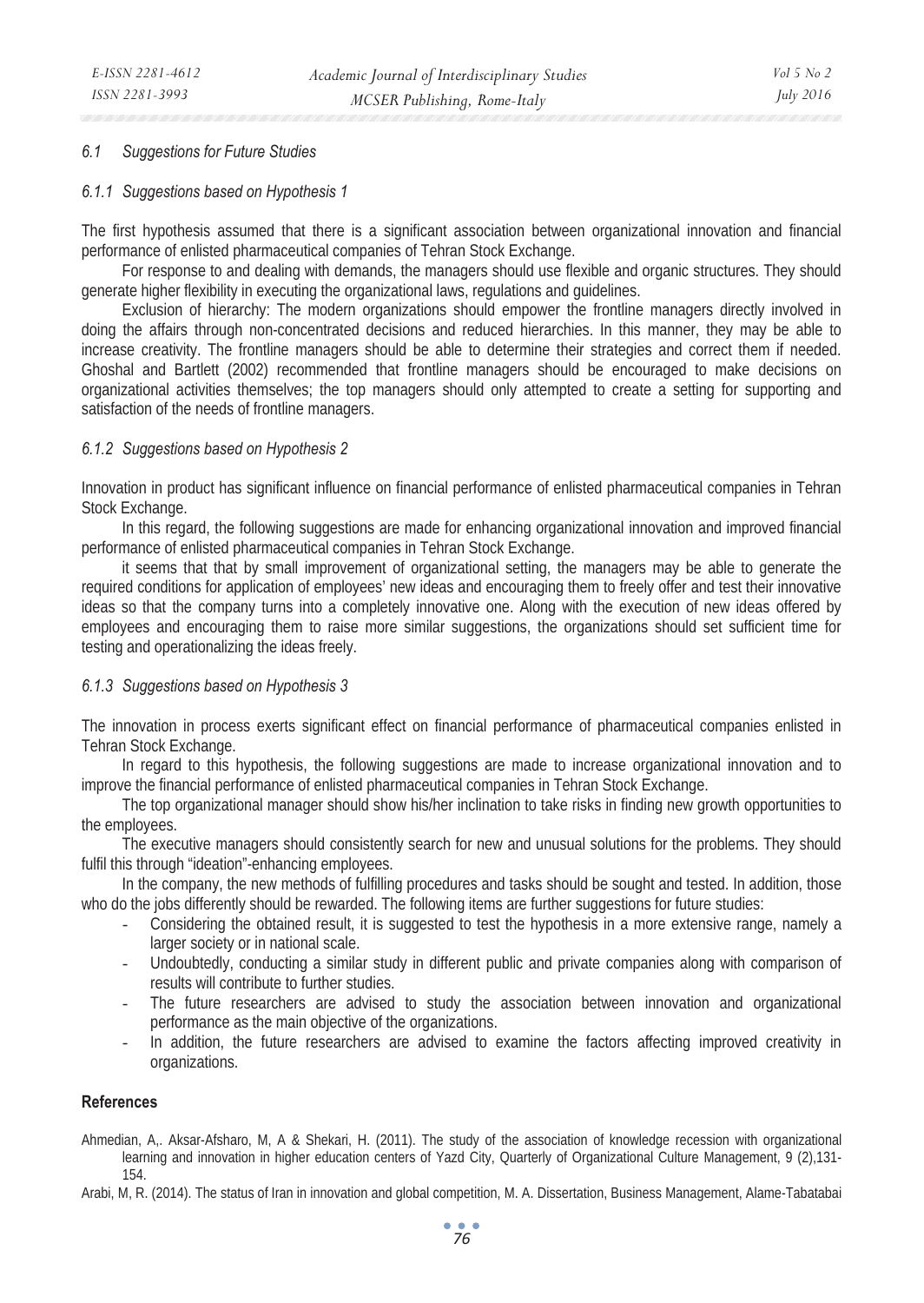#### *6.1 Suggestions for Future Studies*

#### *6.1.1 Suggestions based on Hypothesis 1*

The first hypothesis assumed that there is a significant association between organizational innovation and financial performance of enlisted pharmaceutical companies of Tehran Stock Exchange.

For response to and dealing with demands, the managers should use flexible and organic structures. They should generate higher flexibility in executing the organizational laws, regulations and guidelines.

Exclusion of hierarchy: The modern organizations should empower the frontline managers directly involved in doing the affairs through non-concentrated decisions and reduced hierarchies. In this manner, they may be able to increase creativity. The frontline managers should be able to determine their strategies and correct them if needed. Ghoshal and Bartlett (2002) recommended that frontline managers should be encouraged to make decisions on organizational activities themselves; the top managers should only attempted to create a setting for supporting and satisfaction of the needs of frontline managers.

### *6.1.2 Suggestions based on Hypothesis 2*

Innovation in product has significant influence on financial performance of enlisted pharmaceutical companies in Tehran Stock Exchange.

In this regard, the following suggestions are made for enhancing organizational innovation and improved financial performance of enlisted pharmaceutical companies in Tehran Stock Exchange.

it seems that that by small improvement of organizational setting, the managers may be able to generate the required conditions for application of employees' new ideas and encouraging them to freely offer and test their innovative ideas so that the company turns into a completely innovative one. Along with the execution of new ideas offered by employees and encouraging them to raise more similar suggestions, the organizations should set sufficient time for testing and operationalizing the ideas freely.

### *6.1.3 Suggestions based on Hypothesis 3*

The innovation in process exerts significant effect on financial performance of pharmaceutical companies enlisted in Tehran Stock Exchange.

In regard to this hypothesis, the following suggestions are made to increase organizational innovation and to improve the financial performance of enlisted pharmaceutical companies in Tehran Stock Exchange.

The top organizational manager should show his/her inclination to take risks in finding new growth opportunities to the employees.

The executive managers should consistently search for new and unusual solutions for the problems. They should fulfil this through "ideation"-enhancing employees.

In the company, the new methods of fulfilling procedures and tasks should be sought and tested. In addition, those who do the jobs differently should be rewarded. The following items are further suggestions for future studies:

- Considering the obtained result, it is suggested to test the hypothesis in a more extensive range, namely a larger society or in national scale.
- Undoubtedly, conducting a similar study in different public and private companies along with comparison of results will contribute to further studies.
- The future researchers are advised to study the association between innovation and organizational performance as the main objective of the organizations.
- In addition, the future researchers are advised to examine the factors affecting improved creativity in organizations.

#### **References**

Ahmedian, A,. Aksar-Afsharo, M, A & Shekari, H. (2011). The study of the association of knowledge recession with organizational learning and innovation in higher education centers of Yazd City, Quarterly of Organizational Culture Management, 9 (2),131- 154.

Arabi, M, R. (2014). The status of Iran in innovation and global competition, M. A. Dissertation, Business Management, Alame-Tabatabai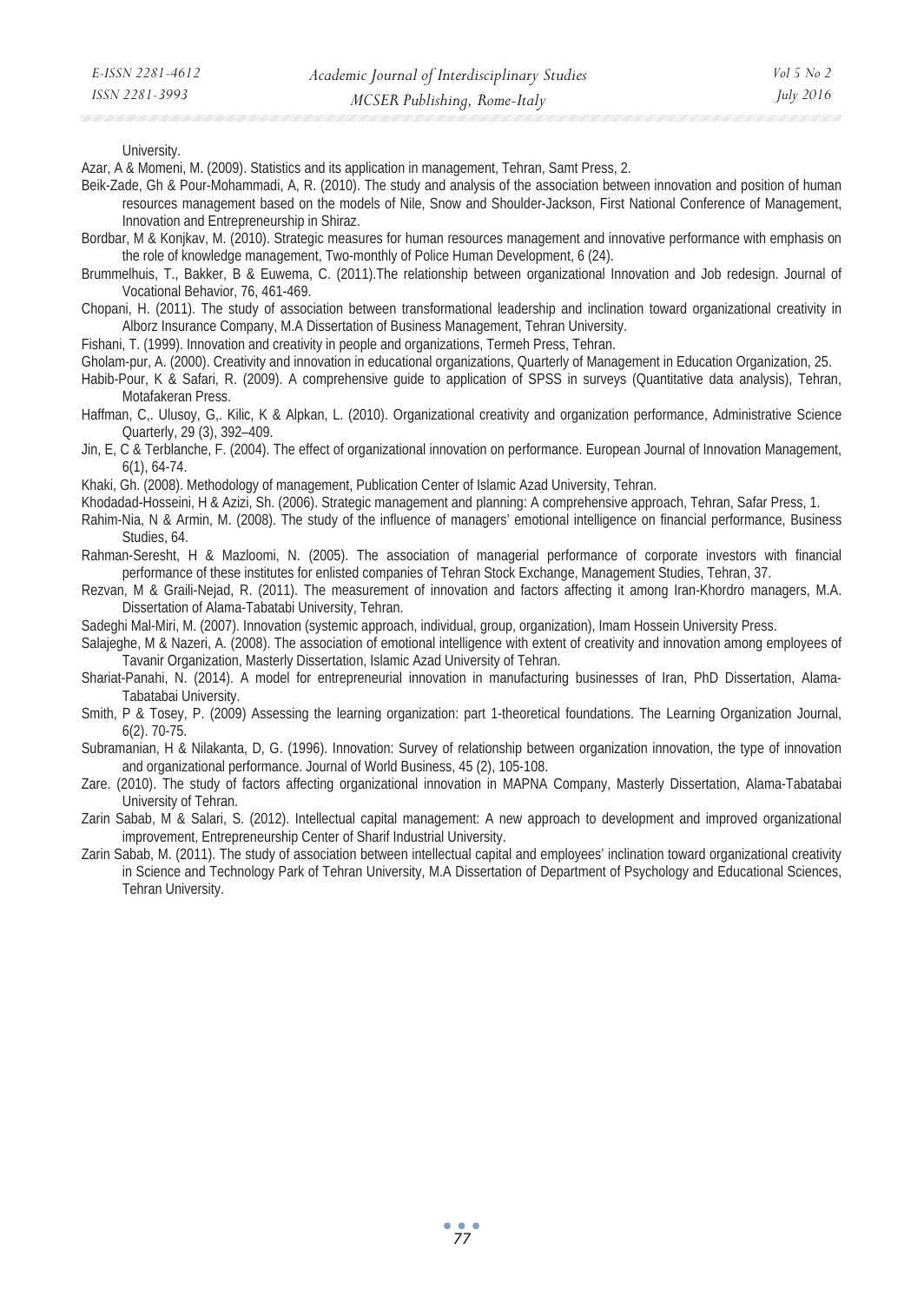University.

Azar, A & Momeni, M. (2009). Statistics and its application in management, Tehran, Samt Press, 2.

Beik-Zade, Gh & Pour-Mohammadi, A, R. (2010). The study and analysis of the association between innovation and position of human resources management based on the models of Nile, Snow and Shoulder-Jackson, First National Conference of Management, Innovation and Entrepreneurship in Shiraz.

Bordbar, M & Konjkav, M. (2010). Strategic measures for human resources management and innovative performance with emphasis on the role of knowledge management, Two-monthly of Police Human Development, 6 (24).

Brummelhuis, T., Bakker, B & Euwema, C. (2011).The relationship between organizational Innovation and Job redesign. Journal of Vocational Behavior, 76, 461-469.

Chopani, H. (2011). The study of association between transformational leadership and inclination toward organizational creativity in Alborz Insurance Company, M.A Dissertation of Business Management, Tehran University.

Fishani, T. (1999). Innovation and creativity in people and organizations, Termeh Press, Tehran.

Gholam-pur, A. (2000). Creativity and innovation in educational organizations, Quarterly of Management in Education Organization, 25.

Habib-Pour, K & Safari, R. (2009). A comprehensive guide to application of SPSS in surveys (Quantitative data analysis), Tehran, Motafakeran Press.

Haffman, C,. Ulusoy, G,. Kilic, K & Alpkan, L. (2010). Organizational creativity and organization performance, Administrative Science Quarterly, 29 (3), 392–409.

Jin, E, C & Terblanche, F. (2004). The effect of organizational innovation on performance. European Journal of Innovation Management, 6(1), 64-74.

Khaki, Gh. (2008). Methodology of management, Publication Center of Islamic Azad University, Tehran.

Khodadad-Hosseini, H & Azizi, Sh. (2006). Strategic management and planning: A comprehensive approach, Tehran, Safar Press, 1.

Rahim-Nia, N & Armin, M. (2008). The study of the influence of managers' emotional intelligence on financial performance, Business Studies, 64.

Rahman-Seresht, H & Mazloomi, N. (2005). The association of managerial performance of corporate investors with financial performance of these institutes for enlisted companies of Tehran Stock Exchange, Management Studies, Tehran, 37.

Rezvan, M & Graili-Nejad, R. (2011). The measurement of innovation and factors affecting it among Iran-Khordro managers, M.A. Dissertation of Alama-Tabatabi University, Tehran.

Sadeghi Mal-Miri, M. (2007). Innovation (systemic approach, individual, group, organization), Imam Hossein University Press.

Salajeghe, M & Nazeri, A. (2008). The association of emotional intelligence with extent of creativity and innovation among employees of Tavanir Organization, Masterly Dissertation, Islamic Azad University of Tehran.

Shariat-Panahi, N. (2014). A model for entrepreneurial innovation in manufacturing businesses of Iran, PhD Dissertation, Alama-Tabatabai University.

Smith, P & Tosey, P. (2009) Assessing the learning organization: part 1-theoretical foundations. The Learning Organization Journal, 6(2). 70-75.

Subramanian, H & Nilakanta, D, G. (1996). Innovation: Survey of relationship between organization innovation, the type of innovation and organizational performance. Journal of World Business, 45 (2), 105-108.

Zare. (2010). The study of factors affecting organizational innovation in MAPNA Company, Masterly Dissertation, Alama-Tabatabai University of Tehran.

Zarin Sabab, M & Salari, S. (2012). Intellectual capital management: A new approach to development and improved organizational improvement, Entrepreneurship Center of Sharif Industrial University.

Zarin Sabab, M. (2011). The study of association between intellectual capital and employees' inclination toward organizational creativity in Science and Technology Park of Tehran University, M.A Dissertation of Department of Psychology and Educational Sciences, Tehran University.